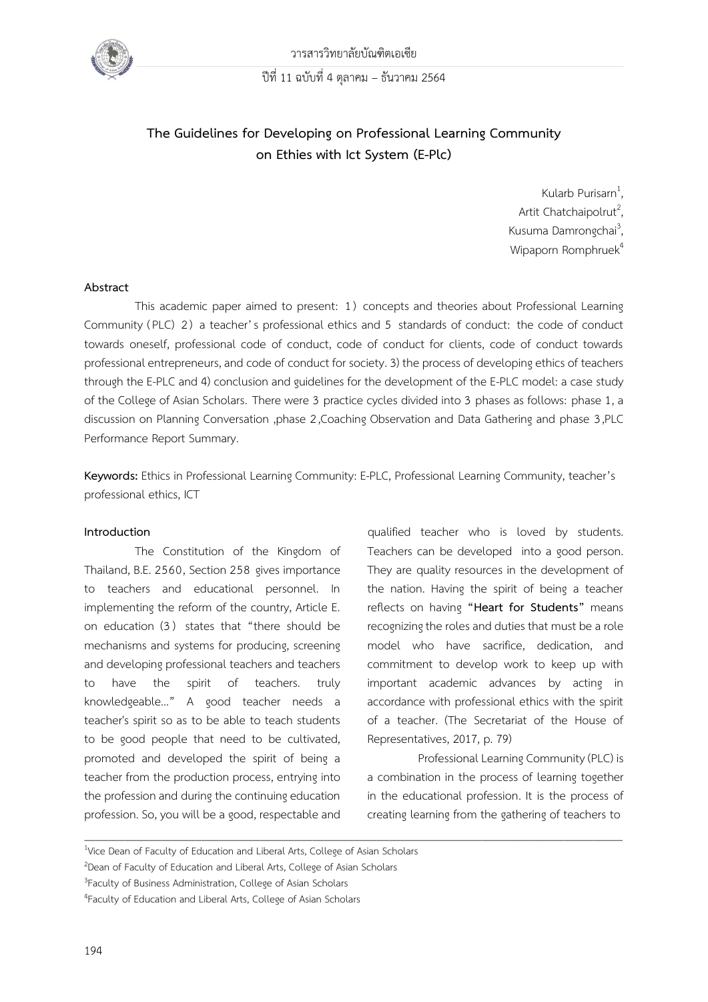

# **The Guidelines for Developing on Professional Learning Community on Ethies with Ict System (E-Plc)**

Kularb Purisarn<sup>1</sup>, Artit Chatchaipolrut<sup>2</sup>, Kusuma Damrongchai<sup>3</sup>, Wipaporn Romphruek<sup>4</sup>

#### **Abstract**

This academic paper aimed to present: 1) concepts and theories about Professional Learning Community (PLC) 2) a teacher's professional ethics and 5 standards of conduct: the code of conduct towards oneself, professional code of conduct, code of conduct for clients, code of conduct towards professional entrepreneurs, and code of conduct for society. 3) the process of developing ethics of teachers through the E-PLC and 4) conclusion and guidelines for the development of the E-PLC model: a case study of the College of Asian Scholars. There were 3 practice cycles divided into 3 phases as follows: phase 1, a discussion on Planning Conversation ,phase 2,Coaching Observation and Data Gathering and phase 3,PLC Performance Report Summary.

**Keywords:** Ethics in Professional Learning Community: E-PLC, Professional Learning Community, teacher's professional ethics, ICT

 $\overline{\phantom{a}}$  , and the contribution of the contribution of the contribution of the contribution of the contribution of the contribution of the contribution of the contribution of the contribution of the contribution of the

#### **Introduction**

The Constitution of the Kingdom of Thailand, B.E. 2560, Section 258 gives importance to teachers and educational personnel. In implementing the reform of the country, Article E. on education (3 ) states that "there should be mechanisms and systems for producing, screening and developing professional teachers and teachers to have the spirit of teachers. truly knowledgeable…" A good teacher needs a teacher's spirit so as to be able to teach students to be good people that need to be cultivated, promoted and developed the spirit of being a teacher from the production process, entrying into the profession and during the continuing education profession. So, you will be a good, respectable and

qualified teacher who is loved by students. Teachers can be developed into a good person. They are quality resources in the development of the nation. Having the spirit of being a teacher reflects on having **"Heart for Students"** means recognizing the roles and duties that must be a role model who have sacrifice, dedication, and commitment to develop work to keep up with important academic advances by acting in accordance with professional ethics with the spirit of a teacher. (The Secretariat of the House of Representatives, 2017, p. 79)

Professional Learning Community (PLC) is a combination in the process of learning together in the educational profession. It is the process of creating learning from the gathering of teachers to

<sup>&</sup>lt;sup>1</sup>Vice Dean of Faculty of Education and Liberal Arts, College of Asian Scholars

<sup>2</sup>Dean of Faculty of Education and Liberal Arts, College of Asian Scholars

<sup>&</sup>lt;sup>3</sup> Faculty of Business Administration, College of Asian Scholars

<sup>&</sup>lt;sup>4</sup> Faculty of Education and Liberal Arts, College of Asian Scholars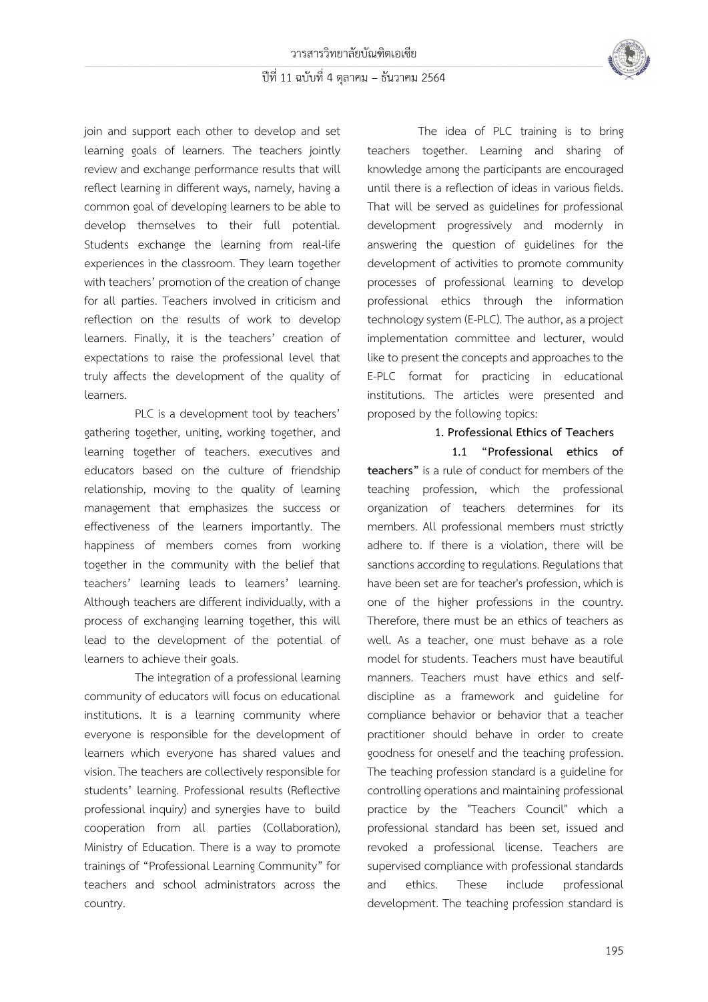

join and support each other to develop and set learning goals of learners. The teachers jointly review and exchange performance results that will reflect learning in different ways, namely, having a common goal of developing learners to be able to develop themselves to their full potential. Students exchange the learning from real-life experiences in the classroom. They learn together with teachers' promotion of the creation of change for all parties. Teachers involved in criticism and reflection on the results of work to develop learners. Finally, it is the teachers' creation of expectations to raise the professional level that truly affects the development of the quality of learners.

PLC is a development tool by teachers' gathering together, uniting, working together, and learning together of teachers. executives and educators based on the culture of friendship relationship, moving to the quality of learning management that emphasizes the success or effectiveness of the learners importantly. The happiness of members comes from working together in the community with the belief that teachers' learning leads to learners' learning. Although teachers are different individually, with a process of exchanging learning together, this will lead to the development of the potential of learners to achieve their goals.

The integration of a professional learning community of educators will focus on educational institutions. It is a learning community where everyone is responsible for the development of learners which everyone has shared values and vision. The teachers are collectively responsible for students' learning. Professional results (Reflective professional inquiry) and synergies have to build cooperation from all parties (Collaboration), Ministry of Education. There is a way to promote trainings of "Professional Learning Community" for teachers and school administrators across the country.

The idea of PLC training is to bring teachers together. Learning and sharing of knowledge among the participants are encouraged until there is a reflection of ideas in various fields. That will be served as guidelines for professional development progressively and modernly in answering the question of guidelines for the development of activities to promote community processes of professional learning to develop professional ethics through the information technology system (E-PLC). The author, as a project implementation committee and lecturer, would like to present the concepts and approaches to the E-PLC format for practicing in educational institutions. The articles were presented and proposed by the following topics:

## **1. Professional Ethics of Teachers**

**1.1 "Professional ethics of teachers"** is a rule of conduct for members of the teaching profession, which the professional organization of teachers determines for its members. All professional members must strictly adhere to. If there is a violation, there will be sanctions according to regulations. Regulations that have been set are for teacher's profession, which is one of the higher professions in the country. Therefore, there must be an ethics of teachers as well. As a teacher, one must behave as a role model for students. Teachers must have beautiful manners. Teachers must have ethics and selfdiscipline as a framework and guideline for compliance behavior or behavior that a teacher practitioner should behave in order to create goodness for oneself and the teaching profession. The teaching profession standard is a guideline for controlling operations and maintaining professional practice by the "Teachers Council" which a professional standard has been set, issued and revoked a professional license. Teachers are supervised compliance with professional standards and ethics. These include professional development. The teaching profession standard is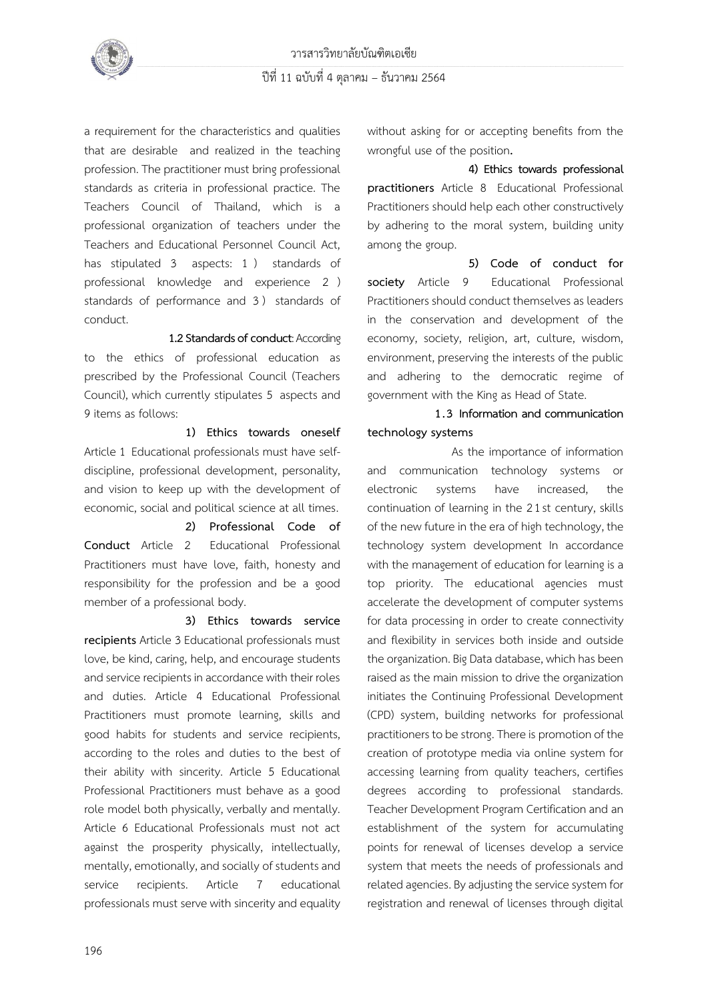

a requirement for the characteristics and qualities that are desirable and realized in the teaching profession. The practitioner must bring professional standards as criteria in professional practice. The Teachers Council of Thailand, which is a professional organization of teachers under the Teachers and Educational Personnel Council Act, has stipulated 3 aspects: 1 ) standards of professional knowledge and experience 2 ) standards of performance and 3 ) standards of conduct.

**1.2Standards of conduct**: According to the ethics of professional education as prescribed by the Professional Council (Teachers Council), which currently stipulates 5 aspects and 9 items as follows:

**1) Ethics towards oneself** Article 1 Educational professionals must have selfdiscipline, professional development, personality, and vision to keep up with the development of economic, social and political science at all times.

**2) Professional Code of Conduct** Article 2 Educational Professional Practitioners must have love, faith, honesty and responsibility for the profession and be a good member of a professional body.

**3) Ethics towards service recipients** Article 3 Educational professionals must love, be kind, caring, help, and encourage students and service recipients in accordance with their roles and duties. Article 4 Educational Professional Practitioners must promote learning, skills and good habits for students and service recipients, according to the roles and duties to the best of their ability with sincerity. Article 5 Educational Professional Practitioners must behave as a good role model both physically, verbally and mentally. Article 6 Educational Professionals must not act against the prosperity physically, intellectually, mentally, emotionally, and socially of students and service recipients. Article 7 educational professionals must serve with sincerity and equality without asking for or accepting benefits from the wrongful use of the position**.**

**4) Ethics towards professional practitioners** Article 8 Educational Professional Practitioners should help each other constructively by adhering to the moral system, building unity among the group.

**5) Code of conduct for society** Article 9 Educational Professional Practitioners should conduct themselves as leaders in the conservation and development of the economy, society, religion, art, culture, wisdom, environment, preserving the interests of the public and adhering to the democratic regime of government with the King as Head of State.

## **1.3 Information and communication technology systems**

As the importance of information and communication technology systems or electronic systems have increased, the continuation of learning in the 2 1st century, skills of the new future in the era of high technology, the technology system development In accordance with the management of education for learning is a top priority. The educational agencies must accelerate the development of computer systems for data processing in order to create connectivity and flexibility in services both inside and outside the organization. Big Data database, which has been raised as the main mission to drive the organization initiates the Continuing Professional Development (CPD) system, building networks for professional practitioners to be strong.There is promotion of the creation of prototype media via online system for accessing learning from quality teachers, certifies degrees according to professional standards. Teacher Development Program Certification and an establishment of the system for accumulating points for renewal of licenses develop a service system that meets the needs of professionals and related agencies. By adjusting the service system for registration and renewal of licenses through digital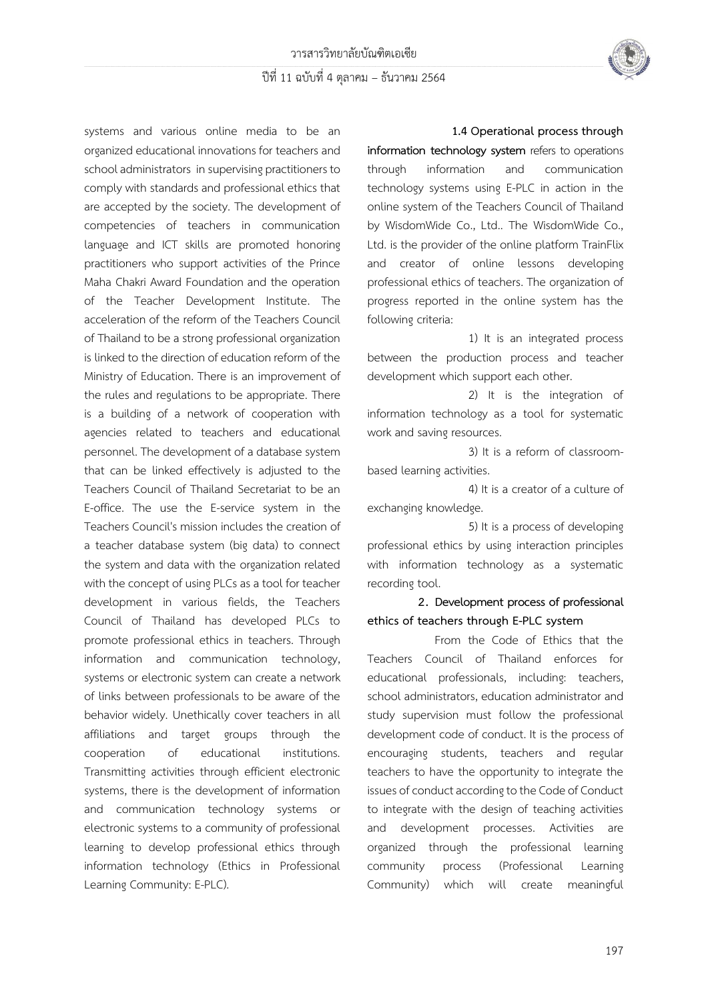

systems and various online media to be an organized educational innovations for teachers and school administrators in supervising practitioners to comply with standards and professional ethics that are accepted by the society. The development of competencies of teachers in communication language and ICT skills are promoted honoring practitioners who support activities of the Prince Maha Chakri Award Foundation and the operation of the Teacher Development Institute. The acceleration of the reform of the Teachers Council of Thailand to be a strong professional organization is linked to the direction of education reform of the Ministry of Education. There is an improvement of the rules and regulations to be appropriate. There is a building of a network of cooperation with agencies related to teachers and educational personnel. The development of a database system that can be linked effectively is adjusted to the Teachers Council of Thailand Secretariat to be an E-office. The use the E-service system in the Teachers Council's mission includes the creation of a teacher database system (big data) to connect the system and data with the organization related with the concept of using PLCs as a tool for teacher development in various fields, the Teachers Council of Thailand has developed PLCs to promote professional ethics in teachers. Through information and communication technology, systems or electronic system can create a network of links between professionals to be aware of the behavior widely. Unethically cover teachers in all affiliations and target groups through the cooperation of educational institutions. Transmitting activities through efficient electronic systems, there is the development of information and communication technology systems or electronic systems to a community of professional learning to develop professional ethics through information technology (Ethics in Professional Learning Community: E-PLC).

#### **1.4 Operational process through**

**information technology system** refers to operations through information and communication technology systems using E-PLC in action in the online system of the Teachers Council of Thailand by WisdomWide Co., Ltd.. The WisdomWide Co., Ltd. is the provider of the online platform TrainFlix and creator of online lessons developing professional ethics of teachers. The organization of progress reported in the online system has the following criteria:

1) It is an integrated process between the production process and teacher development which support each other.

2) It is the integration of information technology as a tool for systematic work and saving resources.

3) It is a reform of classroombased learning activities.

4) It is a creator of a culture of exchanging knowledge.

5) It is a process of developing professional ethics by using interaction principles with information technology as a systematic recording tool.

**2. Development process of professional ethics of teachers through E-PLC system**

From the Code of Ethics that the Teachers Council of Thailand enforces for educational professionals, including: teachers, school administrators, education administrator and study supervision must follow the professional development code of conduct. It is the process of encouraging students, teachers and regular teachers to have the opportunity to integrate the issues of conduct according to the Code of Conduct to integrate with the design of teaching activities and development processes. Activities are organized through the professional learning community process (Professional Learning Community) which will create meaningful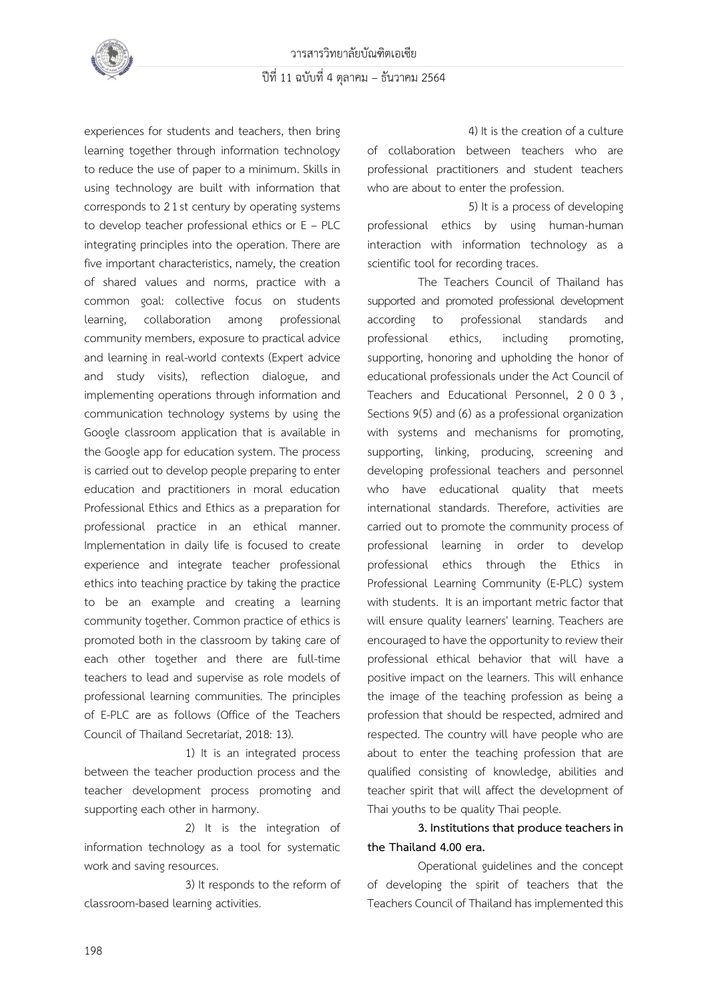

experiences for students and teachers, then bring learning together through information technology to reduce the use of paper to a minimum. Skills in using technology are built with information that corresponds to 2 1st century by operating systems to develop teacher professional ethics or E – PLC integrating principles into the operation. There are five important characteristics, namely, the creation of shared values and norms, practice with a common goal: collective focus on students learning, collaboration among professional community members, exposure to practical advice and learning in real-world contexts (Expert advice and study visits), reflection dialogue, and implementing operations through information and communication technology systems by using the Google classroom application that is available in the Google app for education system. The process is carried out to develop people preparing to enter education and practitioners in moral education Professional Ethics and Ethics as a preparation for professional practice in an ethical manner. Implementation in daily life is focused to create experience and integrate teacher professional ethics into teaching practice by taking the practice to be an example and creating a learning community together. Common practice of ethics is promoted both in the classroom by taking care of each other together and there are full-time teachers to lead and supervise as role models of professional learning communities. The principles of E-PLC are as follows (Office of the Teachers Council of Thailand Secretariat, 2018: 13).

1) It is an integrated process between the teacher production process and the teacher development process promoting and supporting each other in harmony.

2) It is the integration of information technology as a tool for systematic work and saving resources.

3) It responds to the reform of classroom-based learning activities.

4) It is the creation of a culture of collaboration between teachers who are professional practitioners and student teachers who are about to enter the profession.

5) It is a process of developing professional ethics by using human-human interaction with information technology as a scientific tool for recording traces.

The Teachers Council of Thailand has supported and promoted professional development according to professional standards and professional ethics, including promoting, supporting, honoring and upholding the honor of educational professionals under the Act Council of Teachers and Educational Personnel, 2003 , Sections 9(5) and (6) as a professional organization with systems and mechanisms for promoting, supporting, linking, producing, screening and developing professional teachers and personnel who have educational quality that meets international standards. Therefore, activities are carried out to promote the community process of professional learning in order to develop professional ethics through the Ethics in Professional Learning Community (E-PLC) system with students. It is an important metric factor that will ensure quality learners' learning. Teachers are encouraged to have the opportunity to review their professional ethical behavior that will have a positive impact on the learners. This will enhance the image of the teaching profession as being a profession that should be respected, admired and respected. The country will have people who are about to enter the teaching profession that are qualified consisting of knowledge, abilities and teacher spirit that will affect the development of Thai youths to be quality Thai people.

**3. Institutions that produce teachers in the Thailand 4.00 era.**

Operational guidelines and the concept of developing the spirit of teachers that the Teachers Council of Thailand has implemented this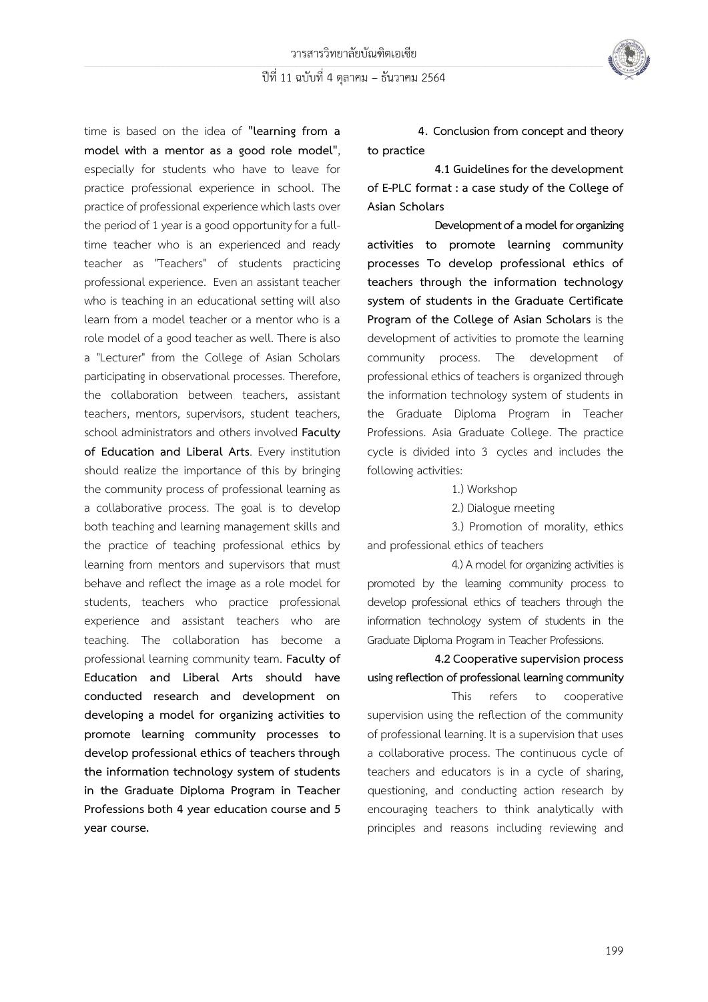

time is based on the idea of **"learning from a model with a mentor as a good role model"**, especially for students who have to leave for practice professional experience in school. The practice of professional experience which lasts over the period of 1year is a good opportunity for a fulltime teacher who is an experienced and ready teacher as "Teachers" of students practicing professional experience. Even an assistant teacher who is teaching in an educational setting will also learn from a model teacher or a mentor who is a role model of a good teacher as well. There is also a "Lecturer" from the College of Asian Scholars participating in observational processes. Therefore, the collaboration between teachers, assistant teachers, mentors, supervisors, student teachers, school administrators and others involved **Faculty of Education and Liberal Arts**. Every institution should realize the importance of this by bringing the community process of professional learning as a collaborative process. The goal is to develop both teaching and learning management skills and the practice of teaching professional ethics by learning from mentors and supervisors that must behave and reflect the image as a role model for students, teachers who practice professional experience and assistant teachers who are teaching. The collaboration has become a professional learning community team. **Faculty of Education and Liberal Arts should have conducted research and development on developing a model for organizing activities to promote learning community processes to develop professional ethics of teachers through the information technology system of students in the Graduate Diploma Program in Teacher Professions both 4 year education course and 5 year course.**

**4. Conclusion from concept and theory to practice**

**4.1 Guidelines for the development of E-PLC format : a case study of the College of Asian Scholars**

**Development of a model for organizing activities to promote learning community processes To develop professional ethics of teachers through the information technology system of students in the Graduate Certificate Program of the College of Asian Scholars** is the development of activities to promote the learning community process. The development of professional ethics of teachers is organized through the information technology system of students in the Graduate Diploma Program in Teacher Professions. Asia Graduate College. The practice cycle is divided into 3 cycles and includes the following activities:

1.) Workshop

2.) Dialogue meeting

3.) Promotion of morality, ethics and professional ethics of teachers

4.) A model for organizing activities is promoted by the learning community process to develop professional ethics of teachers through the information technology system of students in the Graduate Diploma Program in Teacher Professions.

**4.2 Cooperative supervision process using reflection of professional learning community**

This refers to cooperative supervision using the reflection of the community of professional learning. It is a supervision that uses a collaborative process. The continuous cycle of teachers and educators is in a cycle of sharing, questioning, and conducting action research by encouraging teachers to think analytically with principles and reasons including reviewing and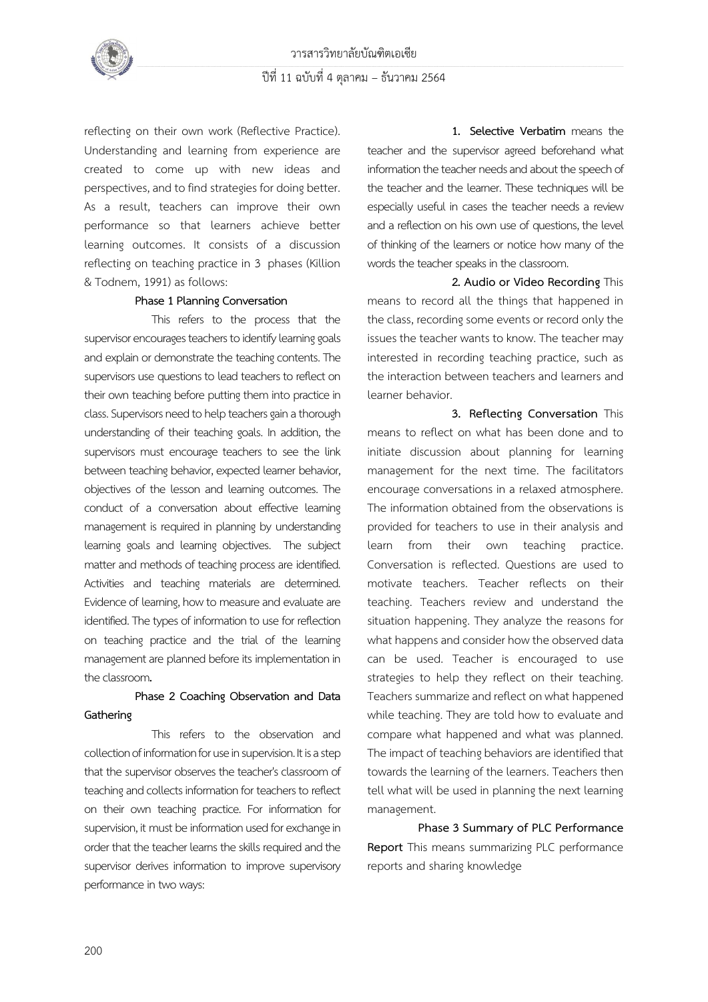

reflecting on their own work (Reflective Practice). Understanding and learning from experience are created to come up with new ideas and perspectives, and to find strategies for doing better. As a result, teachers can improve their own performance so that learners achieve better learning outcomes. It consists of a discussion reflecting on teaching practice in 3 phases (Killion & Todnem, 1991) as follows:

#### **Phase 1Planning Conversation**

This refers to the process that the supervisor encourages teachers to identify learning goals and explain or demonstrate the teaching contents. The supervisors use questions to lead teachers to reflect on their own teaching before putting them into practice in class. Supervisors need to help teachers gain a thorough understanding of their teaching goals. In addition, the supervisors must encourage teachers to see the link between teaching behavior, expected learner behavior, objectives of the lesson and learning outcomes. The conduct of a conversation about effective learning management is required in planning by understanding learning goals and learning objectives. The subject matter and methods of teaching process are identified. Activities and teaching materials are determined. Evidence of learning, how to measure and evaluate are identified. The types of information to use for reflection on teaching practice and the trial of the learning management are planned before its implementation in the classroom**.**

## **Phase 2 Coaching Observation and Data Gathering**

This refers to the observation and collection of information for use in supervision. It is a step that the supervisor observes the teacher's classroom of teaching and collects information for teachers to reflect on their own teaching practice. For information for supervision, it must be information used for exchange in order that the teacher learns the skills required and the supervisor derives information to improve supervisory performance in two ways:

**1. Selective Verbatim** means the teacher and the supervisor agreed beforehand what information the teacher needs and about the speech of the teacher and the learner. These techniques will be especially useful in cases the teacher needs a review and a reflection on his own use of questions, the level of thinking of the learners or notice how many of the words the teacher speaks in the classroom.

**2. Audio or Video Recording** This means to record all the things that happened in the class, recording some events or record only the issues the teacher wants to know. The teacher may interested in recording teaching practice, such as the interaction between teachers and learners and learner behavior.

**3. Reflecting Conversation** This means to reflect on what has been done and to initiate discussion about planning for learning management for the next time. The facilitators encourage conversations in a relaxed atmosphere. The information obtained from the observations is provided for teachers to use in their analysis and learn from their own teaching practice. Conversation is reflected. Questions are used to motivate teachers. Teacher reflects on their teaching. Teachers review and understand the situation happening. They analyze the reasons for what happens and consider how the observed data can be used. Teacher is encouraged to use strategies to help they reflect on their teaching. Teachers summarize and reflect on what happened while teaching. They are told how to evaluate and compare what happened and what was planned. The impact of teaching behaviors are identified that towards the learning of the learners. Teachers then tell what will be used in planning the next learning management.

**Phase 3 Summary of PLC Performance Report** This means summarizing PLC performance reports and sharing knowledge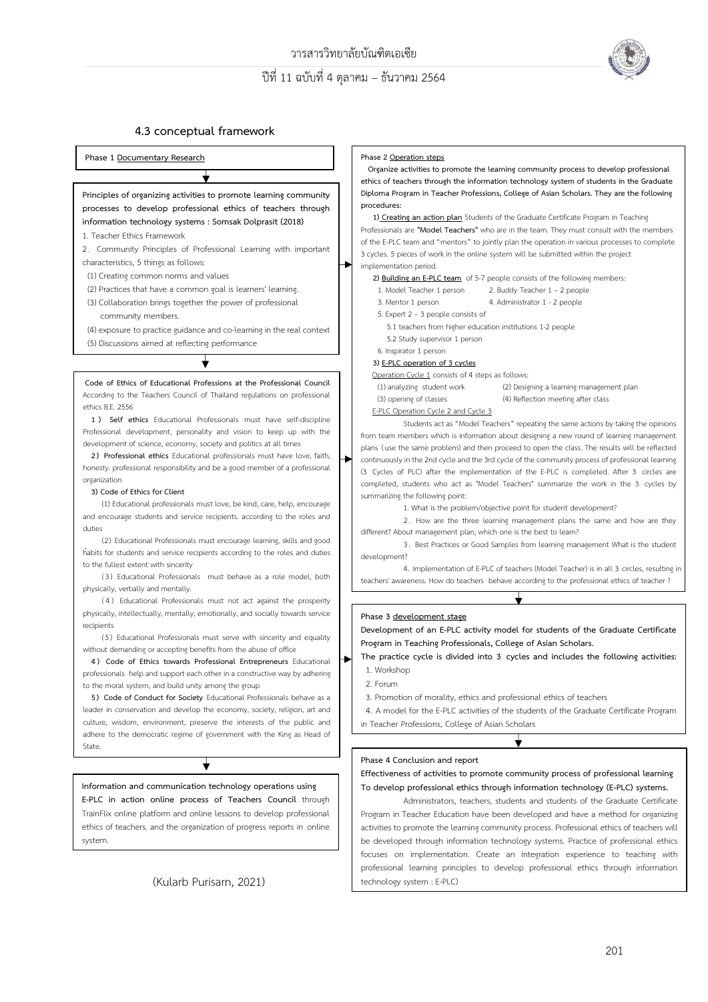

#### **4.3 conceptual framework**



(Kularb Purisarn, 2021)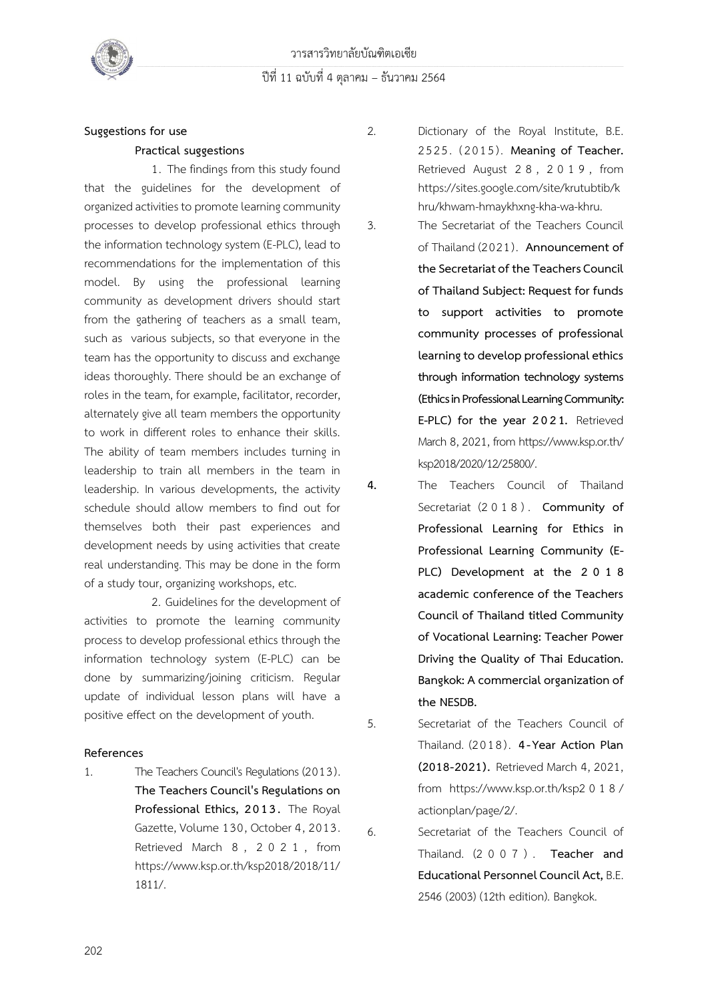



# **Suggestions for use Practical suggestions**

1. The findings from this study found that the guidelines for the development of organized activities to promote learning community processes to develop professional ethics through the information technology system (E-PLC), lead to recommendations for the implementation of this model. By using the professional learning community as development drivers should start from the gathering of teachers as a small team, such as various subjects, so that everyone in the team has the opportunity to discuss and exchange ideas thoroughly. There should be an exchange of roles in the team, for example, facilitator, recorder, alternately give all team members the opportunity to work in different roles to enhance their skills. The ability of team members includes turning in leadership to train all members in the team in leadership. In various developments, the activity schedule should allow members to find out for themselves both their past experiences and development needs by using activities that create real understanding. This may be done in the form of a study tour, organizing workshops, etc.

2. Guidelines for the development of activities to promote the learning community process to develop professional ethics through the information technology system (E-PLC) can be done by summarizing/joining criticism. Regular update of individual lesson plans will have a positive effect on the development of youth.

#### **References**

1. The Teachers Council's Regulations (2013). **The Teachers Council's Regulations on Professional Ethics, 2013.** The Royal Gazette, Volume 130, October 4, 2013. Retrieved March 8 , 2021 , from [https://www.ksp.or.th/ksp](https://www.ksp.or.th/ksp%202018/2018/11/1811/)2018/2018/11/ [1811/](https://www.ksp.or.th/ksp%202018/2018/11/1811/).

- 2. Dictionary of the Royal Institute, B.E. 2525. ( 2015) . **Meaning of Teacher.** Retrieved August 2 8 , 2019 , from [https://sites.google.com/site/krutubtib/k](https://sites.google.com/site/krutubtib/khru/khwam-hmaykhxng-kha-wa-khru) [hru/khwam-hmaykhxng-kha-wa-khru.](https://sites.google.com/site/krutubtib/khru/khwam-hmaykhxng-kha-wa-khru)
- 3. The Secretariat of the Teachers Council of Thailand (2021). **Announcement of the Secretariat of the Teachers Council of Thailand Subject: Request for funds to support activities to promote community processes of professional learning to develop professional ethics through information technology systems (Ethics in Professional Learning Community: E-PLC) for the year 2021.** Retrieved March 8, 2021, from [https://www.ksp.or.th/](https://www.ksp.or.th/ksp2018/2020/12/25800/) ksp[2018/2020/12/25800/.](https://www.ksp.or.th/ksp2018/2020/12/25800/)
- **4.** The Teachers Council of Thailand Secretariat (2 0 1 8 ) . **Community of Professional Learning for Ethics in Professional Learning Community (E-PLC) Development at the 2 0 1 8 academic conference of the Teachers Council of Thailand titled Community of Vocational Learning: Teacher Power Driving the Quality of Thai Education. Bangkok: A commercial organization of the NESDB.**
- 5. Secretariat of the Teachers Council of Thailand. (2018) . **4-Year Action Plan (2018-2021).** Retrieved March 4, 2021, from [https://www.ksp.or.th/ksp](https://www.ksp.or.th/ksp2018/actionplan/page/2/)2018/ [actionplan/page/](https://www.ksp.or.th/ksp2018/actionplan/page/2/)2/.

6. Secretariat of the Teachers Council of Thailand. (2 0 0 7 ) . **Teacher and Educational Personnel Council Act,**B.E. 2546 (2003) (12th edition). Bangkok.